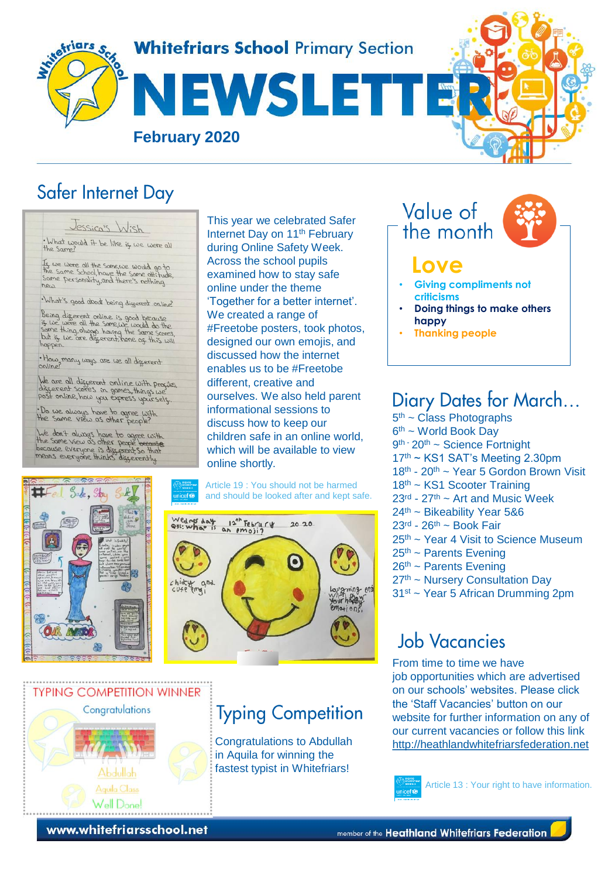

### Safer Internet Day

Jessica's Wish . What would it be like is we were all Is we were all the same, we would go to<br>the same School, have the same attitude,<br>Same Personality, and there's nothing

.What's good about being digerent online?

 $no.5$ 

Being different online is good because<br>if we were all the same, we used do the<br>same thing, always having the same scores,<br>but is we are different, none of this will<br>happen.

. How many ways are we all different

We are all different online with progres.<br>different score's in games, things we<br>post online, how you express yoursels.

. Do we always have to agree with

Lue don't always have to agree with<br>the Same View as other people because<br>because everyone is discerent So that<br>means everyone thinks discerently.

This year we celebrated Safer Internet Day on 11<sup>th</sup> February during Online Safety Week. Across the school pupils examined how to stay safe online under the theme 'Together for a better internet'. We created a range of #Freetobe posters, took photos, designed our own emojis, and discussed how the internet enables us to be #Freetobe different, creative and ourselves. We also held parent informational sessions to discuss how to keep our children safe in an online world, which will be available to view online shortly.

Article 19 : You should not be harmed and should be looked after and kept safe.





# **Typing Competition**

Congratulations to Abdullah in Aquila for winning the fastest typist in Whitefriars!



# **Love**

- **Giving compliments not criticisms**
- **Doing things to make others happy**
- **Thanking people**

# Diary Dates for March...

5<sup>th</sup> ~ Class Photographs 6<sup>th</sup> ~ World Book Day 9<sup>th -</sup> 20<sup>th</sup> ~ Science Fortnight 17th ~ KS1 SAT's Meeting 2.30pm  $18<sup>th</sup>$  -  $20<sup>th</sup>$  ~ Year 5 Gordon Brown Visit 18<sup>th</sup> ~ KS1 Scooter Training  $23<sup>rd</sup>$  -  $27<sup>th</sup>$  ~ Art and Music Week 24<sup>th</sup> ~ Bikeability Year 5&6  $23<sup>rd</sup> - 26<sup>th</sup> \sim Book Fair$ 25th ~ Year 4 Visit to Science Museum  $25<sup>th</sup>$  ~ Parents Evening 26th ~ Parents Evening 27th ~ Nursery Consultation Day 31st ~ Year 5 African Drumming 2pm

# **Job Vacancies**

From time to time we have job opportunities which are advertised on our schools' websites. Please click the 'Staff Vacancies' button on our website for further information on any of our current vacancies or follow this link [http://heathlandwhitefriarsfederation.net](http://heathlandwhitefriarsfederation.net/)



Article 13 : Your right to have information.

www.whitefriarsschool.net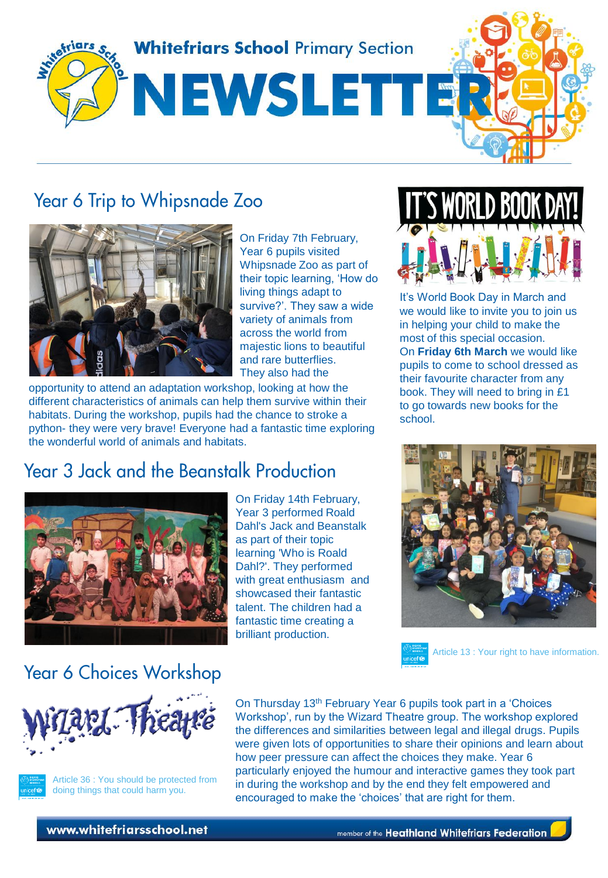

#### Year 6 Trip to Whipsnade Zoo



On Friday 7th February, Year 6 pupils visited Whipsnade Zoo as part of their topic learning, 'How do living things adapt to survive?'. They saw a wide variety of animals from across the world from majestic lions to beautiful and rare butterflies. They also had the

opportunity to attend an adaptation workshop, looking at how the different characteristics of animals can help them survive within their habitats. During the workshop, pupils had the chance to stroke a python- they were very brave! Everyone had a fantastic time exploring the wonderful world of animals and habitats.

# **Year 3 Jack and the Beanstalk Production**



On Friday 14th February, Year 3 performed Roald Dahl's Jack and Beanstalk as part of their topic learning 'Who is Roald Dahl?'. They performed with great enthusiasm and showcased their fantastic talent. The children had a fantastic time creating a brilliant production.



It's World Book Day in March and we would like to invite you to join us in helping your child to make the most of this special occasion. On **Friday 6th March** we would like pupils to come to school dressed as their favourite character from any book. They will need to bring in £1 to go towards new books for the school.



Article 13 : Your right to have information.

#### **Year 6 Choices Workshop**





Article 36 : You should be protected from doing things that could harm you.

On Thursday 13<sup>th</sup> February Year 6 pupils took part in a 'Choices Workshop', run by the Wizard Theatre group. The workshop explored the differences and similarities between legal and illegal drugs. Pupils were given lots of opportunities to share their opinions and learn about how peer pressure can affect the choices they make. Year 6 particularly enjoyed the humour and interactive games they took part in during the workshop and by the end they felt empowered and encouraged to make the 'choices' that are right for them.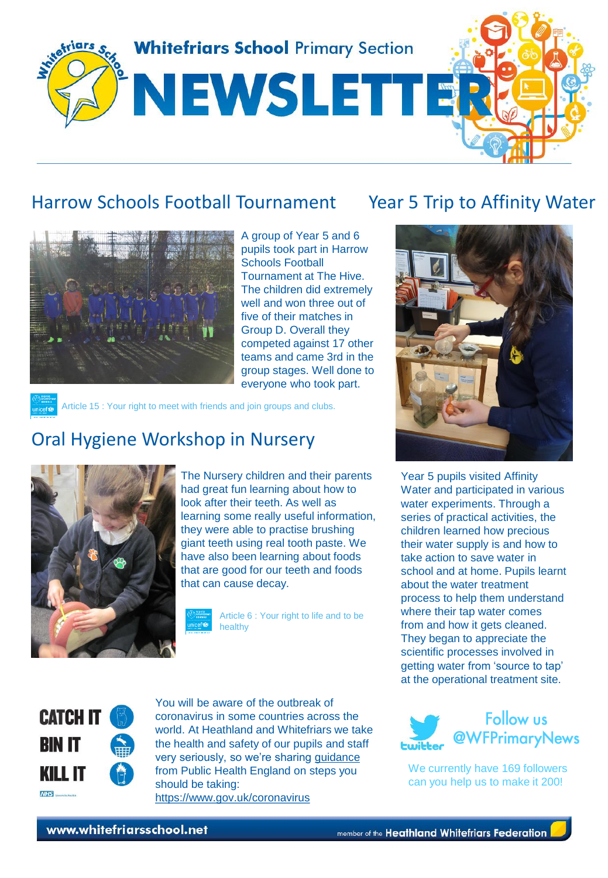

#### Harrow Schools Football Tournament Year 5 Trip to Affinity Water



A group of Year 5 and 6 pupils took part in Harrow Schools Football Tournament at The Hive. The children did extremely well and won three out of five of their matches in Group D. Overall they competed against 17 other teams and came 3rd in the group stages. Well done to everyone who took part.

Article 15 : Your right to meet with friends and join groups and clubs.

#### Oral Hygiene Workshop in Nursery



The Nursery children and their parents had great fun learning about how to look after their teeth. As well as learning some really useful information, they were able to practise brushing giant teeth using real tooth paste. We have also been learning about foods that are good for our teeth and foods that can cause decay.

> Article 6 : Your right to life and to be healthy





Year 5 pupils visited Affinity Water and participated in various water experiments. Through a series of practical activities, the children learned how precious their water supply is and how to take action to save water in school and at home. Pupils learnt about the water treatment process to help them understand where their tap water comes from and how it gets cleaned. They began to appreciate the scientific processes involved in getting water from 'source to tap' at the operational treatment site.



You will be aware of the outbreak of coronavirus in some countries across the world. At Heathland and Whitefriars we take the health and safety of our pupils and staff very seriously, so we're sharing [guidance](https://www.gov.uk/government/publications/guidance-to-educational-settings-about-covid-19/guidance-to-educational-settings-about-covid-19) from Public Health England on steps you should be taking: https://www.gov.uk/coronavirus



We currently have 169 followers can you help us to make it 200!

www.whitefriarsschool.net